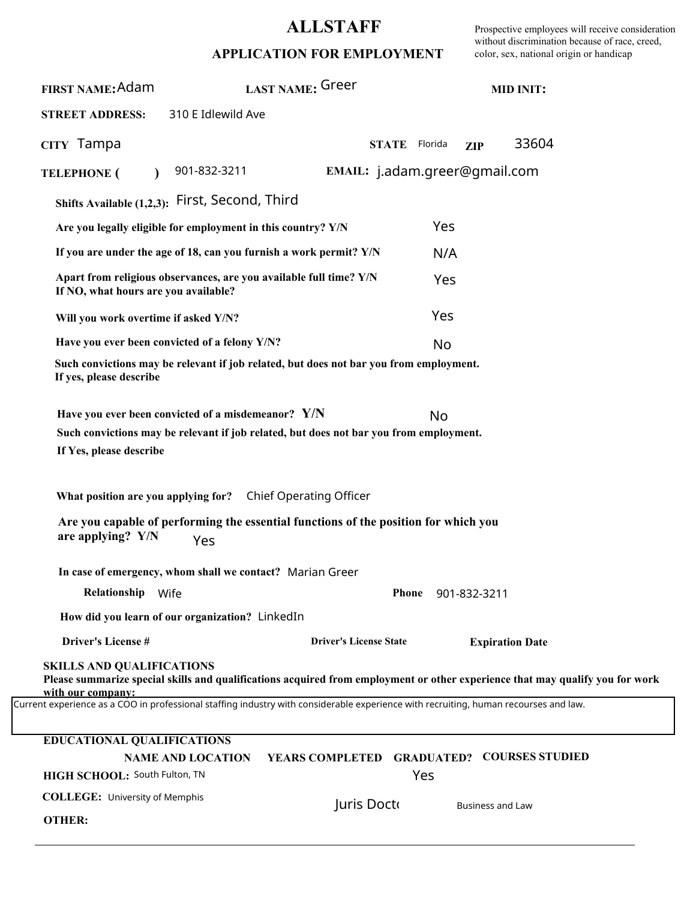## **ALLSTAFF**

Prospective employees will receive consideration without discrimination because of race, creed, color, sex, national origin or handicap

| FIRST NAME: Adam                                                                                                                                                                              | LAST NAME: Greer                                                                                                                                                                                                                                                                                          |                                            | <b>MID INIT:</b> |                        |                                                                                                                               |  |
|-----------------------------------------------------------------------------------------------------------------------------------------------------------------------------------------------|-----------------------------------------------------------------------------------------------------------------------------------------------------------------------------------------------------------------------------------------------------------------------------------------------------------|--------------------------------------------|------------------|------------------------|-------------------------------------------------------------------------------------------------------------------------------|--|
| <b>STREET ADDRESS:</b>                                                                                                                                                                        | 310 E Idlewild Ave                                                                                                                                                                                                                                                                                        |                                            |                  |                        |                                                                                                                               |  |
| CITY Tampa                                                                                                                                                                                    |                                                                                                                                                                                                                                                                                                           | <b>STATE</b> Florida                       |                  | <b>ZIP</b>             | 33604                                                                                                                         |  |
| <b>TELEPHONE</b> (                                                                                                                                                                            | 901-832-3211                                                                                                                                                                                                                                                                                              | EMAIL: j.adam.greer@gmail.com              |                  |                        |                                                                                                                               |  |
|                                                                                                                                                                                               | Shifts Available (1,2,3): First, Second, Third                                                                                                                                                                                                                                                            |                                            |                  |                        |                                                                                                                               |  |
|                                                                                                                                                                                               | Are you legally eligible for employment in this country? Y/N                                                                                                                                                                                                                                              |                                            | Yes              |                        |                                                                                                                               |  |
|                                                                                                                                                                                               | If you are under the age of 18, can you furnish a work permit? Y/N                                                                                                                                                                                                                                        |                                            | N/A              |                        |                                                                                                                               |  |
| If NO, what hours are you available?                                                                                                                                                          | Apart from religious observances, are you available full time? Y/N                                                                                                                                                                                                                                        |                                            | Yes              |                        |                                                                                                                               |  |
| Will you work overtime if asked Y/N?                                                                                                                                                          |                                                                                                                                                                                                                                                                                                           |                                            | Yes              |                        |                                                                                                                               |  |
|                                                                                                                                                                                               | Have you ever been convicted of a felony Y/N?                                                                                                                                                                                                                                                             |                                            |                  |                        |                                                                                                                               |  |
| If yes, please describe                                                                                                                                                                       | Such convictions may be relevant if job related, but does not bar you from employment.                                                                                                                                                                                                                    |                                            |                  |                        |                                                                                                                               |  |
| If Yes, please describe<br>are applying? Y/N                                                                                                                                                  | Have you ever been convicted of a misdemeanor? Y/N<br>Such convictions may be relevant if job related, but does not bar you from employment.<br>What position are you applying for? Chief Operating Officer<br>Are you capable of performing the essential functions of the position for which you<br>Yes |                                            | <b>No</b>        |                        |                                                                                                                               |  |
|                                                                                                                                                                                               | In case of emergency, whom shall we contact? Marian Greer                                                                                                                                                                                                                                                 |                                            |                  |                        |                                                                                                                               |  |
| Relationship Wife                                                                                                                                                                             |                                                                                                                                                                                                                                                                                                           | <b>Phone</b>                               |                  | 901-832-3211           |                                                                                                                               |  |
|                                                                                                                                                                                               | How did you learn of our organization? LinkedIn                                                                                                                                                                                                                                                           |                                            |                  |                        |                                                                                                                               |  |
| <b>Driver's License#</b>                                                                                                                                                                      |                                                                                                                                                                                                                                                                                                           | <b>Driver's License State</b>              |                  | <b>Expiration Date</b> |                                                                                                                               |  |
| <b>SKILLS AND QUALIFICATIONS</b><br>with our company:<br>Current experience as a COO in professional staffing industry with considerable experience with recruiting, human recourses and law. |                                                                                                                                                                                                                                                                                                           |                                            |                  |                        | Please summarize special skills and qualifications acquired from employment or other experience that may qualify you for work |  |
| <b>EDUCATIONAL QUALIFICATIONS</b>                                                                                                                                                             |                                                                                                                                                                                                                                                                                                           |                                            |                  |                        |                                                                                                                               |  |
| HIGH SCHOOL: South Fulton, TN                                                                                                                                                                 | <b>NAME AND LOCATION</b>                                                                                                                                                                                                                                                                                  | YEARS COMPLETED GRADUATED? COURSES STUDIED | Yes              |                        |                                                                                                                               |  |
| <b>COLLEGE: University of Memphis</b><br><b>OTHER:</b>                                                                                                                                        |                                                                                                                                                                                                                                                                                                           | Juris Docto                                |                  | Business and Law       |                                                                                                                               |  |